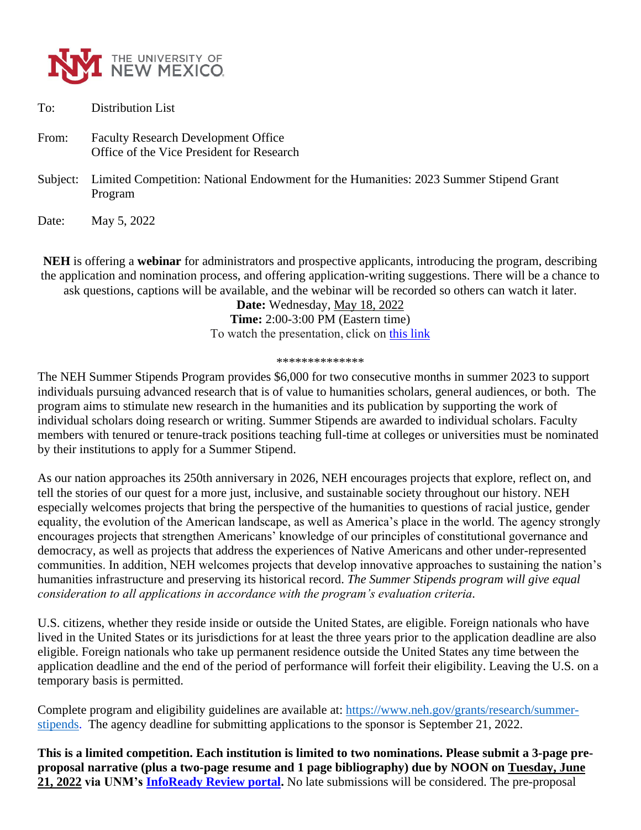

From: Faculty Research Development Office Office of the Vice President for Research

Subject: Limited Competition: National Endowment for the Humanities: 2023 Summer Stipend Grant Program

Date: May 5, 2022

**NEH** is offering a **webinar** for administrators and prospective applicants, introducing the program, describing the application and nomination process, and offering application-writing suggestions. There will be a chance to ask questions, captions will be available, and the webinar will be recorded so others can watch it later.

> **Date:** Wednesday, May 18, 2022 **Time:** 2:00-3:00 PM (Eastern time) To watch the presentation, click on [this link](https://teams.microsoft.com/l/meetup-join/19%3ameeting_NWFiZmEyMDEtMTVkMS00NTYzLWExZDctMjljNzQ2ZGU1Mjc3%40thread.v2/0?context=%7b%22Tid%22%3a%2293b06459-c77d-44b6-af7f-e813cddcdcc3%22%2c%22Oid%22%3a%22f1948567-bcbd-4b01-8149-2f869eaf44e4%22%2c%22IsBroadcastMeeting%22%3atrue%7d&btype=a&role=a)

## \*\*\*\*\*\*\*\*\*\*\*\*\*\*

The NEH Summer Stipends Program provides \$6,000 for two consecutive months in summer 2023 to support individuals pursuing advanced research that is of value to humanities scholars, general audiences, or both. The program aims to stimulate new research in the humanities and its publication by supporting the work of individual scholars doing research or writing. Summer Stipends are awarded to individual scholars. Faculty members with tenured or tenure-track positions teaching full-time at colleges or universities must be nominated by their institutions to apply for a Summer Stipend.

As our nation approaches its 250th anniversary in 2026, NEH encourages projects that explore, reflect on, and tell the stories of our quest for a more just, inclusive, and sustainable society throughout our history. NEH especially welcomes projects that bring the perspective of the humanities to questions of racial justice, gender equality, the evolution of the American landscape, as well as America's place in the world. The agency strongly encourages projects that strengthen Americans' knowledge of our principles of constitutional governance and democracy, as well as projects that address the experiences of Native Americans and other under-represented communities. In addition, NEH welcomes projects that develop innovative approaches to sustaining the nation's humanities infrastructure and preserving its historical record. *The Summer Stipends program will give equal consideration to all applications in accordance with the program's evaluation criteria.*

U.S. citizens, whether they reside inside or outside the United States, are eligible. Foreign nationals who have lived in the United States or its jurisdictions for at least the three years prior to the application deadline are also eligible. Foreign nationals who take up permanent residence outside the United States any time between the application deadline and the end of the period of performance will forfeit their eligibility. Leaving the U.S. on a temporary basis is permitted.

Complete program and eligibility guidelines are available at: [https://www.neh.gov/grants/research/summer](https://www.neh.gov/grants/research/summer-stipends)[stipends.](https://www.neh.gov/grants/research/summer-stipends) The agency deadline for submitting applications to the sponsor is September 21, 2022.

**This is a limited competition. Each institution is limited to two nominations. Please submit a 3-page preproposal narrative (plus a two-page resume and 1 page bibliography) due by NOON on Tuesday, June 21, 2022 via UNM's [InfoReady Review portal.](https://unm.infoready4.com/)** No late submissions will be considered. The pre-proposal